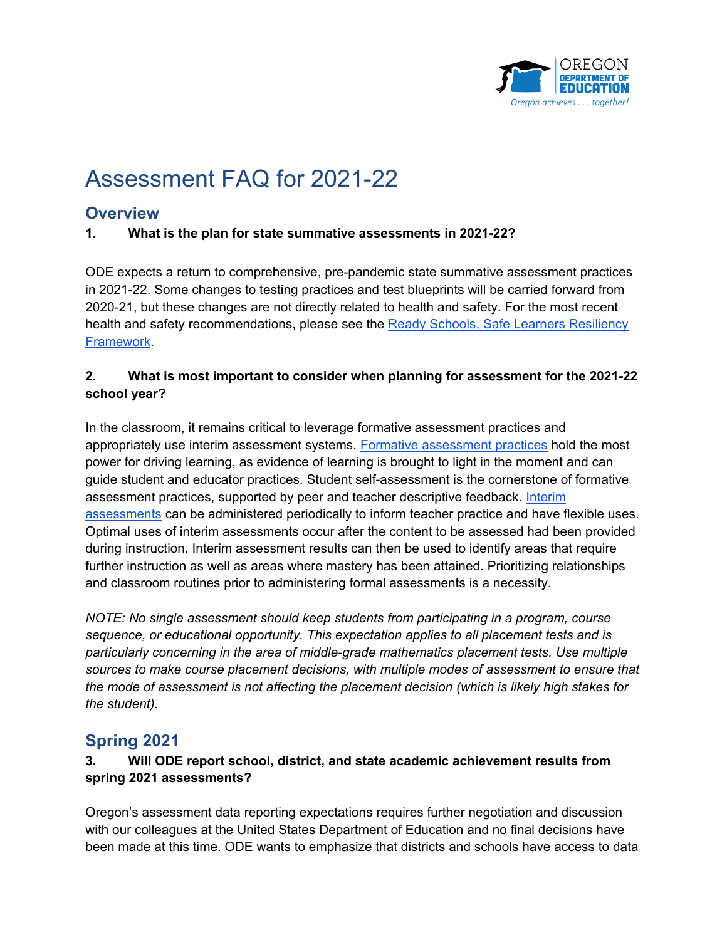

# Assessment FAQ for 2021-22

# **Overview**

#### **1. What is the plan for state summative assessments in 2021-22?**

ODE expects a return to comprehensive, pre-pandemic state summative assessment practices in 2021-22. Some changes to testing practices and test blueprints will be carried forward from 2020-21, but these changes are not directly related to health and safety. For the most recent health and safety recommendations, please see the [Ready Schools, Safe Learners Resiliency](https://www.oregon.gov/ode/students-and-family/healthsafety/Documents/Ready%20Schools%20Safe%20Learners%20Resiliency%20Framework%20for%20the%202021-22%20School%20Year.pdf)  [Framework.](https://www.oregon.gov/ode/students-and-family/healthsafety/Documents/Ready%20Schools%20Safe%20Learners%20Resiliency%20Framework%20for%20the%202021-22%20School%20Year.pdf)

#### **2. What is most important to consider when planning for assessment for the 2021-22 school year?**

In the classroom, it remains critical to leverage formative assessment practices and appropriately use interim assessment systems. [Formative assessment practices](https://www.oregon.gov/ode/educator-resources/assessment/Pages/Formative_Assessment.aspx) hold the most power for driving learning, as evidence of learning is brought to light in the moment and can guide student and educator practices. Student self-assessment is the cornerstone of formative assessment practices, supported by peer and teacher descriptive feedback. [Interim](https://www.oregon.gov/ode/educator-resources/assessment/Pages/Interim_Assessments.aspx)  [assessments](https://www.oregon.gov/ode/educator-resources/assessment/Pages/Interim_Assessments.aspx) can be administered periodically to inform teacher practice and have flexible uses. Optimal uses of interim assessments occur after the content to be assessed had been provided during instruction. Interim assessment results can then be used to identify areas that require further instruction as well as areas where mastery has been attained. Prioritizing relationships and classroom routines prior to administering formal assessments is a necessity.

*NOTE: No single assessment should keep students from participating in a program, course sequence, or educational opportunity. This expectation applies to all placement tests and is particularly concerning in the area of middle-grade mathematics placement tests. Use multiple sources to make course placement decisions, with multiple modes of assessment to ensure that the mode of assessment is not affecting the placement decision (which is likely high stakes for the student).*

# **Spring 2021**

#### **3. Will ODE report school, district, and state academic achievement results from spring 2021 assessments?**

Oregon's assessment data reporting expectations requires further negotiation and discussion with our colleagues at the United States Department of Education and no final decisions have been made at this time. ODE wants to emphasize that districts and schools have access to data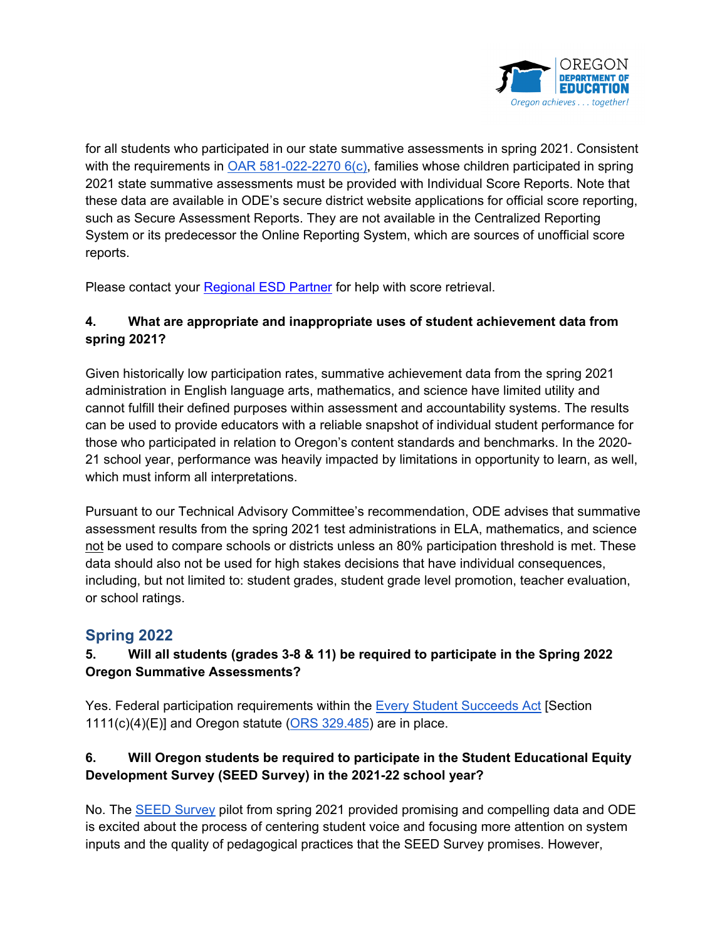

for all students who participated in our state summative assessments in spring 2021. Consistent with the requirements in OAR 581-022-2270  $6(c)$ , families whose children participated in spring 2021 state summative assessments must be provided with Individual Score Reports. Note that these data are available in ODE's secure district website applications for official score reporting, such as Secure Assessment Reports. They are not available in the Centralized Reporting System or its predecessor the Online Reporting System, which are sources of unofficial score reports.

Please contact your [Regional ESD Partner](https://www.oregon.gov/ode/educator-resources/assessment/Documents/esdpartners.pdf) for help with score retrieval.

# **4. What are appropriate and inappropriate uses of student achievement data from spring 2021?**

Given historically low participation rates, summative achievement data from the spring 2021 administration in English language arts, mathematics, and science have limited utility and cannot fulfill their defined purposes within assessment and accountability systems. The results can be used to provide educators with a reliable snapshot of individual student performance for those who participated in relation to Oregon's content standards and benchmarks. In the 2020- 21 school year, performance was heavily impacted by limitations in opportunity to learn, as well, which must inform all interpretations.

Pursuant to our Technical Advisory Committee's recommendation, ODE advises that summative assessment results from the spring 2021 test administrations in ELA, mathematics, and science not be used to compare schools or districts unless an 80% participation threshold is met. These data should also not be used for high stakes decisions that have individual consequences, including, but not limited to: student grades, student grade level promotion, teacher evaluation, or school ratings.

# **Spring 2022**

# **5. Will all students (grades 3-8 & 11) be required to participate in the Spring 2022 Oregon Summative Assessments?**

Yes. Federal participation requirements within the [Every Student Succeeds Act](https://congress.gov/114/plaws/publ95/PLAW-114publ95.pdf) [Section  $1111(c)(4)(E)$ ] and Oregon statute [\(ORS 329.485\)](https://www.oregonlegislature.gov/bills_laws/lawsstatutes/2014R1orLaw0042ss.pdf) are in place.

# **6. Will Oregon students be required to participate in the Student Educational Equity Development Survey (SEED Survey) in the 2021-22 school year?**

No. The [SEED Survey](https://www.oregon.gov/ode/educator-resources/assessment/Pages/Student_Educational_Equity_Development_Survey.aspx) pilot from spring 2021 provided promising and compelling data and ODE is excited about the process of centering student voice and focusing more attention on system inputs and the quality of pedagogical practices that the SEED Survey promises. However,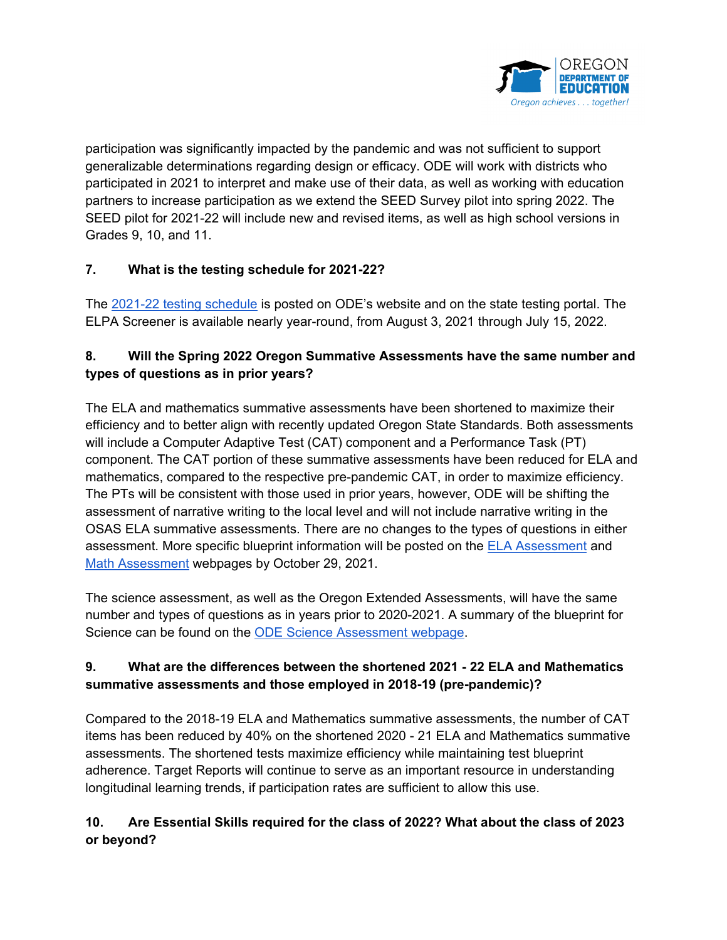

participation was significantly impacted by the pandemic and was not sufficient to support generalizable determinations regarding design or efficacy. ODE will work with districts who participated in 2021 to interpret and make use of their data, as well as working with education partners to increase participation as we extend the SEED Survey pilot into spring 2022. The SEED pilot for 2021-22 will include new and revised items, as well as high school versions in Grades 9, 10, and 11.

#### **7. What is the testing schedule for 2021-22?**

The [2021-22 testing schedule](https://www.oregon.gov/ode/educator-resources/assessment/Documents/testingschedule.pdf) is posted on ODE's website and on the state testing portal. The ELPA Screener is available nearly year-round, from August 3, 2021 through July 15, 2022.

# **8. Will the Spring 2022 Oregon Summative Assessments have the same number and types of questions as in prior years?**

The ELA and mathematics summative assessments have been shortened to maximize their efficiency and to better align with recently updated Oregon State Standards. Both assessments will include a Computer Adaptive Test (CAT) component and a Performance Task (PT) component. The CAT portion of these summative assessments have been reduced for ELA and mathematics, compared to the respective pre-pandemic CAT, in order to maximize efficiency. The PTs will be consistent with those used in prior years, however, ODE will be shifting the assessment of narrative writing to the local level and will not include narrative writing in the OSAS ELA summative assessments. There are no changes to the types of questions in either assessment. More specific blueprint information will be posted on the [ELA Assessment](https://www.oregon.gov/ode/educator-resources/assessment/Pages/English-Language-Arts.aspx) and [Math Assessment](https://www.oregon.gov/ode/educator-resources/assessment/Pages/Mathematics.aspx) webpages by October 29, 2021.

The science assessment, as well as the Oregon Extended Assessments, will have the same number and types of questions as in years prior to 2020-2021. A summary of the blueprint for Science can be found on the [ODE Science Assessment webpage.](https://www.oregon.gov/ode/educator-resources/assessment/Pages/Science.aspx)

# **9. What are the differences between the shortened 2021 - 22 ELA and Mathematics summative assessments and those employed in 2018-19 (pre-pandemic)?**

Compared to the 2018-19 ELA and Mathematics summative assessments, the number of CAT items has been reduced by 40% on the shortened 2020 - 21 ELA and Mathematics summative assessments. The shortened tests maximize efficiency while maintaining test blueprint adherence. Target Reports will continue to serve as an important resource in understanding longitudinal learning trends, if participation rates are sufficient to allow this use.

# **10. Are Essential Skills required for the class of 2022? What about the class of 2023 or beyond?**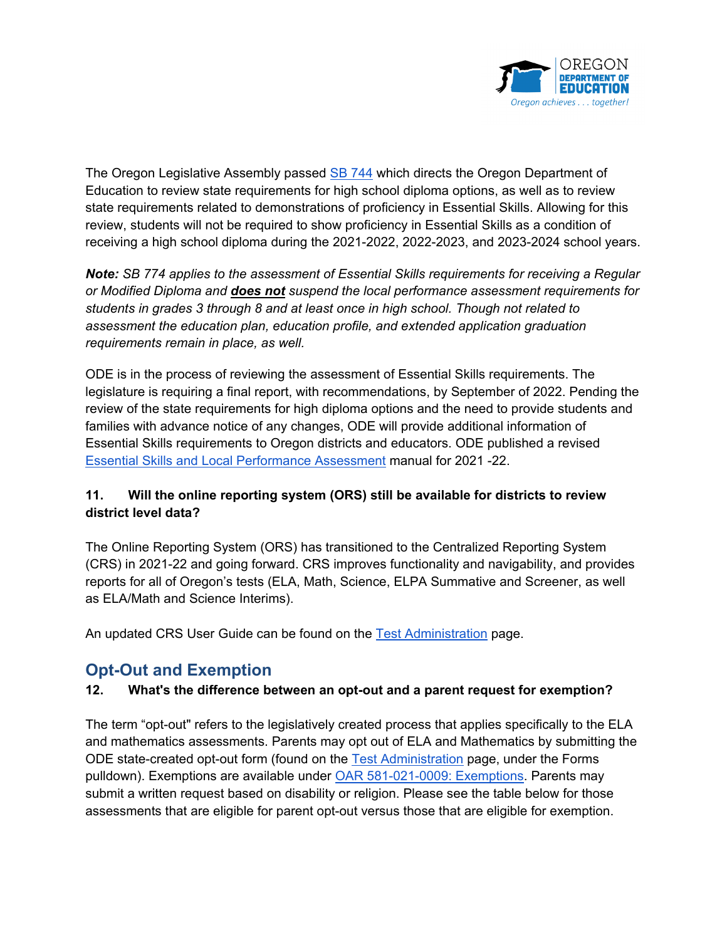

The Oregon Legislative Assembly passe[d](https://olis.oregonlegislature.gov/liz/2021R1/Downloads/MeasureDocument/SB744/Enrolled) [SB 744](https://olis.oregonlegislature.gov/liz/2021R1/Downloads/MeasureDocument/SB744/Enrolled) which directs the Oregon Department of Education to review state requirements for high school diploma options, as well as to review state requirements related to demonstrations of proficiency in Essential Skills. Allowing for this review, students will not be required to show proficiency in Essential Skills as a condition of receiving a high school diploma during the 2021-2022, 2022-2023, and 2023-2024 school years.

*Note: SB 774 applies to the assessment of Essential Skills requirements for receiving a Regular or Modified Diploma and does not suspend the local performance assessment requirements for students in grades 3 through 8 and at least once in high school. Though not related to assessment the education plan, education profile, and extended application graduation requirements remain in place, as well.*

ODE is in the process of reviewing the assessment of Essential Skills requirements. The legislature is requiring a final report, with recommendations, by September of 2022. Pending the review of the state requirements for high diploma options and the need to provide students and families with advance notice of any changes, ODE will provide additional information of Essential Skills requirements to Oregon districts and educators. ODE published a revised [Essential Skills and Local Performance Assessment](https://www.oregon.gov/ode/educator-resources/assessment/Documents/es_localperformanceasmt_manual.pdf) manual for 2021 -22.

#### **11. Will the online reporting system (ORS) still be available for districts to review district level data?**

The Online Reporting System (ORS) has transitioned to the Centralized Reporting System (CRS) in 2021-22 and going forward. CRS improves functionality and navigability, and provides reports for all of Oregon's tests (ELA, Math, Science, ELPA Summative and Screener, as well as ELA/Math and Science Interims).

An updated CRS User Guide can be found on the [Test Administration](https://www.oregon.gov/ode/educator-resources/assessment/Pages/Assessment-Administration.aspx) page.

# **Opt-Out and Exemption**

#### **12. What's the difference between an opt-out and a parent request for exemption?**

The term "opt-out" refers to the legislatively created process that applies specifically to the ELA and mathematics assessments. Parents may opt out of ELA and Mathematics by submitting the ODE state-created opt-out form (found on the [Test Administration](https://www.oregon.gov/ode/educator-resources/assessment/Pages/Assessment-Administration.aspx) page, under the Forms pulldown). Exemptions are available under [OAR 581-021-0009: Exemptions.](https://secure.sos.state.or.us/oard/viewSingleRule.action;JSESSIONID_OARD=dqfA77uD9t03lr038AKLdP3DN5aJ8wNy2L0Qup0XEemyKTNCJRdo!-1024219277?ruleVrsnRsn=261242) Parents may submit a written request based on disability or religion. Please see the table below for those assessments that are eligible for parent opt-out versus those that are eligible for exemption.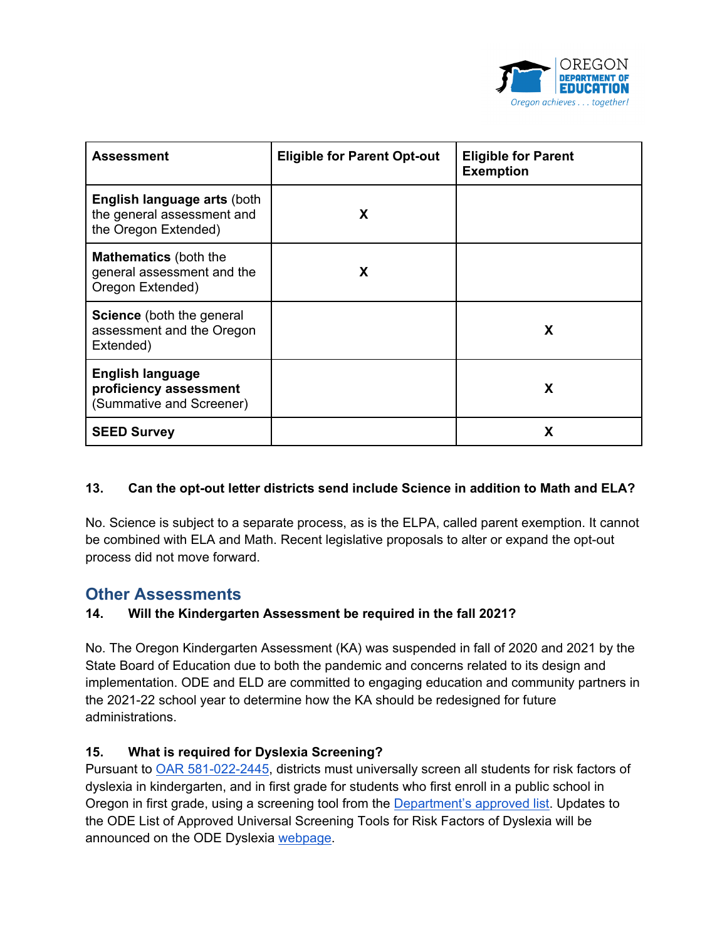

| <b>Assessment</b>                                                                        | <b>Eligible for Parent Opt-out</b> | <b>Eligible for Parent</b><br><b>Exemption</b> |
|------------------------------------------------------------------------------------------|------------------------------------|------------------------------------------------|
| <b>English language arts (both</b><br>the general assessment and<br>the Oregon Extended) | X                                  |                                                |
| <b>Mathematics</b> (both the<br>general assessment and the<br>Oregon Extended)           | X                                  |                                                |
| <b>Science</b> (both the general<br>assessment and the Oregon<br>Extended)               |                                    | X                                              |
| <b>English language</b><br>proficiency assessment<br>(Summative and Screener)            |                                    | X                                              |
| <b>SEED Survey</b>                                                                       |                                    | X                                              |

#### **13. Can the opt-out letter districts send include Science in addition to Math and ELA?**

No. Science is subject to a separate process, as is the ELPA, called parent exemption. It cannot be combined with ELA and Math. Recent legislative proposals to alter or expand the opt-out process did not move forward.

# **Other Assessments**

#### **14. Will the Kindergarten Assessment be required in the fall 2021?**

No. The Oregon Kindergarten Assessment (KA) was suspended in fall of 2020 and 2021 by the State Board of Education due to both the pandemic and concerns related to its design and implementation. ODE and ELD are committed to engaging education and community partners in the 2021-22 school year to determine how the KA should be redesigned for future administrations.

#### **15. What is required for Dyslexia Screening?**

Pursuant to **OAR 581-022-2445**, districts must universally screen all students for risk factors of dyslexia in kindergarten, and in first grade for students who first enroll in a public school in Oregon in first grade, using a screening tool from the [Department's approved list.](https://www.oregon.gov/ode/students-and-family/SpecialEducation/RegPrograms_BestPractice/Documents/approveduniversalscreeners.pdf) Updates to the ODE List of Approved Universal Screening Tools for Risk Factors of Dyslexia will be announced on the ODE Dyslexia [webpage.](https://www.oregon.gov/ode/students-and-family/SpecialEducation/RegPrograms_BestPractice/Pages/Dyslexia.aspx)